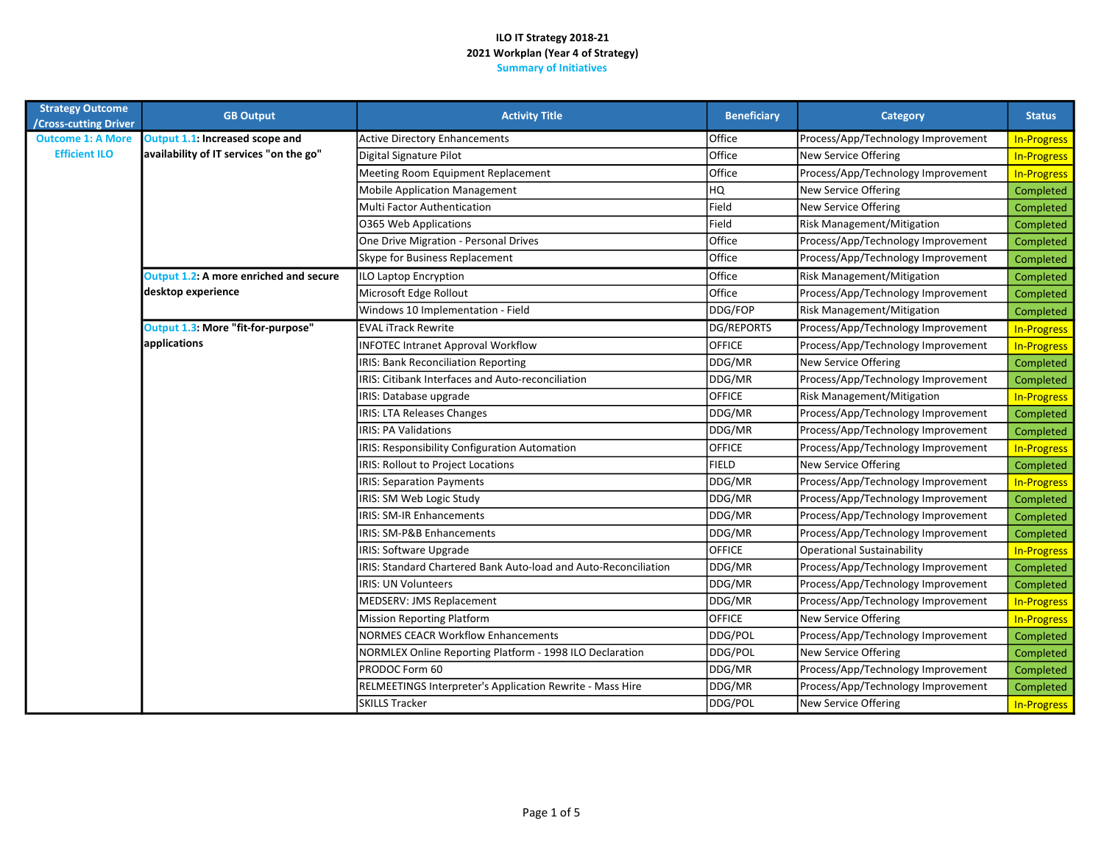| <b>Strategy Outcome</b><br>/Cross-cutting Driver | <b>GB Output</b>                        | <b>Activity Title</b>                                           | <b>Beneficiary</b> | Category                           | <b>Status</b>      |
|--------------------------------------------------|-----------------------------------------|-----------------------------------------------------------------|--------------------|------------------------------------|--------------------|
| <b>Outcome 1: A More</b>                         | Output 1.1: Increased scope and         | <b>Active Directory Enhancements</b>                            | Office             | Process/App/Technology Improvement | <b>In-Progress</b> |
| <b>Efficient ILO</b>                             | availability of IT services "on the go" | Digital Signature Pilot                                         | Office             | <b>New Service Offering</b>        | <b>In-Progress</b> |
|                                                  |                                         | Meeting Room Equipment Replacement                              | Office             | Process/App/Technology Improvement | <b>In-Progress</b> |
|                                                  |                                         | <b>Mobile Application Management</b>                            | HQ                 | New Service Offering               | Completed          |
|                                                  |                                         | Multi Factor Authentication                                     | Field              | New Service Offering               | Completed          |
|                                                  |                                         | 0365 Web Applications                                           | Field              | Risk Management/Mitigation         | Completed          |
|                                                  |                                         | One Drive Migration - Personal Drives                           | Office             | Process/App/Technology Improvement | Completed          |
|                                                  |                                         | Skype for Business Replacement                                  | Office             | Process/App/Technology Improvement | Completed          |
|                                                  | Output 1.2: A more enriched and secure  | ILO Laptop Encryption                                           | Office             | <b>Risk Management/Mitigation</b>  | Completed          |
|                                                  | desktop experience                      | Microsoft Edge Rollout                                          | Office             | Process/App/Technology Improvement | Completed          |
|                                                  |                                         | Windows 10 Implementation - Field                               | DDG/FOP            | Risk Management/Mitigation         | Completed          |
|                                                  | Output 1.3: More "fit-for-purpose"      | <b>EVAL iTrack Rewrite</b>                                      | DG/REPORTS         | Process/App/Technology Improvement | <b>In-Progress</b> |
|                                                  | applications                            | <b>INFOTEC Intranet Approval Workflow</b>                       | <b>OFFICE</b>      | Process/App/Technology Improvement | <b>In-Progress</b> |
|                                                  |                                         | IRIS: Bank Reconciliation Reporting                             | DDG/MR             | New Service Offering               | Completed          |
|                                                  |                                         | IRIS: Citibank Interfaces and Auto-reconciliation               | DDG/MR             | Process/App/Technology Improvement | Completed          |
|                                                  |                                         | IRIS: Database upgrade                                          | <b>OFFICE</b>      | Risk Management/Mitigation         | <b>In-Progress</b> |
|                                                  |                                         | <b>IRIS: LTA Releases Changes</b>                               | DDG/MR             | Process/App/Technology Improvement | Completed          |
|                                                  |                                         | <b>IRIS: PA Validations</b>                                     | DDG/MR             | Process/App/Technology Improvement | Completed          |
|                                                  |                                         | IRIS: Responsibility Configuration Automation                   | <b>OFFICE</b>      | Process/App/Technology Improvement | <b>In-Progress</b> |
|                                                  |                                         | IRIS: Rollout to Project Locations                              | <b>FIELD</b>       | New Service Offering               | Completed          |
|                                                  |                                         | <b>IRIS: Separation Payments</b>                                | DDG/MR             | Process/App/Technology Improvement | <b>In-Progress</b> |
|                                                  |                                         | IRIS: SM Web Logic Study                                        | DDG/MR             | Process/App/Technology Improvement | Completed          |
|                                                  |                                         | <b>IRIS: SM-IR Enhancements</b>                                 | DDG/MR             | Process/App/Technology Improvement | Completed          |
|                                                  |                                         | IRIS: SM-P&B Enhancements                                       | DDG/MR             | Process/App/Technology Improvement | Completed          |
|                                                  |                                         | IRIS: Software Upgrade                                          | loffice            | <b>Operational Sustainability</b>  | <b>In-Progress</b> |
|                                                  |                                         | IRIS: Standard Chartered Bank Auto-load and Auto-Reconciliation | DDG/MR             | Process/App/Technology Improvement | Completed          |
|                                                  |                                         | <b>IRIS: UN Volunteers</b>                                      | DDG/MR             | Process/App/Technology Improvement | Completed          |
|                                                  |                                         | <b>MEDSERV: JMS Replacement</b>                                 | DDG/MR             | Process/App/Technology Improvement | <b>In-Progress</b> |
|                                                  |                                         | <b>Mission Reporting Platform</b>                               | <b>OFFICE</b>      | New Service Offering               | <b>In-Progress</b> |
|                                                  |                                         | <b>NORMES CEACR Workflow Enhancements</b>                       | DDG/POL            | Process/App/Technology Improvement | Completed          |
|                                                  |                                         | NORMLEX Online Reporting Platform - 1998 ILO Declaration        | DDG/POL            | New Service Offering               | Completed          |
|                                                  |                                         | PRODOC Form 60                                                  | DDG/MR             | Process/App/Technology Improvement | Completed          |
|                                                  |                                         | RELMEETINGS Interpreter's Application Rewrite - Mass Hire       | DDG/MR             | Process/App/Technology Improvement | Completed          |
|                                                  |                                         | <b>SKILLS Tracker</b>                                           | DDG/POL            | New Service Offering               | <b>In-Progress</b> |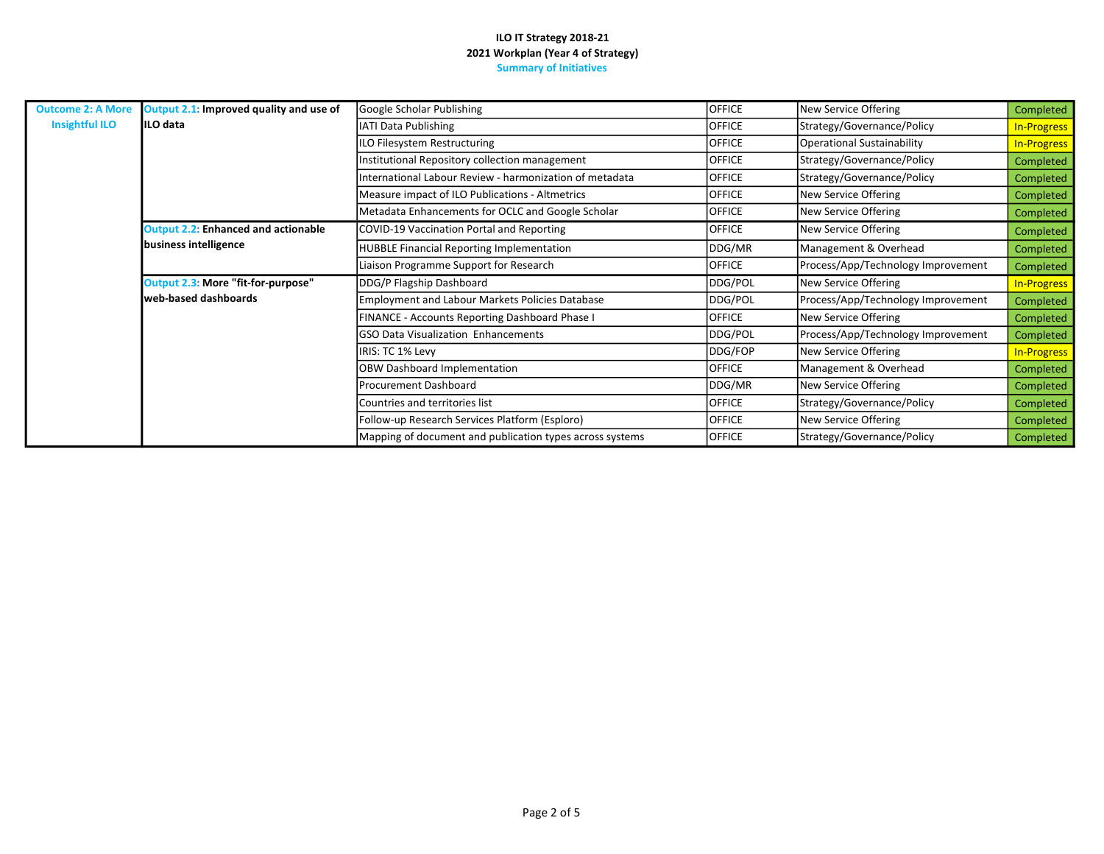| <b>Outcome 2: A More</b>                                   | Output 2.1: Improved quality and use of        | Google Scholar Publishing                                | <b>OFFICE</b>              | New Service Offering               | Completed          |
|------------------------------------------------------------|------------------------------------------------|----------------------------------------------------------|----------------------------|------------------------------------|--------------------|
| <b>Insightful ILO</b>                                      | IILO data                                      | IATI Data Publishing                                     | <b>OFFICE</b>              | Strategy/Governance/Policy         | <b>In-Progress</b> |
|                                                            |                                                | ILO Filesystem Restructuring                             | <b>OFFICE</b>              | <b>Operational Sustainability</b>  | <b>In-Progress</b> |
|                                                            |                                                | Institutional Repository collection management           | <b>OFFICE</b>              | Strategy/Governance/Policy         | Completed          |
|                                                            |                                                | nternational Labour Review - harmonization of metadata   | <b>OFFICE</b>              | Strategy/Governance/Policy         | Completed          |
|                                                            |                                                | Measure impact of ILO Publications - Altmetrics          | <b>OFFICE</b>              | New Service Offering               | Completed          |
|                                                            |                                                | Metadata Enhancements for OCLC and Google Scholar        | <b>OFFICE</b>              | New Service Offering               | Completed          |
|                                                            | <b>Output 2.2: Enhanced and actionable</b>     | COVID-19 Vaccination Portal and Reporting                | <b>OFFICE</b>              | New Service Offering               | Completed          |
|                                                            | business intelligence                          | <b>HUBBLE Financial Reporting Implementation</b>         | DDG/MR                     | Management & Overhead              | Completed          |
|                                                            |                                                | Liaison Programme Support for Research                   | <b>OFFICE</b>              | Process/App/Technology Improvement | Completed          |
| Output 2.3: More "fit-for-purpose"<br>web-based dashboards |                                                | DDG/P Flagship Dashboard                                 | DDG/POL                    | New Service Offering               | <b>In-Progress</b> |
|                                                            |                                                | <b>Employment and Labour Markets Policies Database</b>   | DDG/POL                    | Process/App/Technology Improvement | Completed          |
|                                                            |                                                | FINANCE - Accounts Reporting Dashboard Phase I           | <b>OFFICE</b>              | New Service Offering               | Completed          |
|                                                            |                                                | <b>GSO Data Visualization Enhancements</b>               | DDG/POL                    | Process/App/Technology Improvement | Completed          |
|                                                            |                                                | IRIS: TC 1% Levy                                         | DDG/FOP                    | New Service Offering               | <b>In-Progress</b> |
|                                                            | OBW Dashboard Implementation                   | <b>OFFICE</b>                                            | Management & Overhead      | Completed                          |                    |
|                                                            | Procurement Dashboard                          | DDG/MR                                                   | New Service Offering       | Completed                          |                    |
|                                                            | Countries and territories list                 | <b>OFFICE</b>                                            | Strategy/Governance/Policy | Completed                          |                    |
|                                                            | Follow-up Research Services Platform (Esploro) | <b>OFFICE</b>                                            | New Service Offering       | Completed                          |                    |
|                                                            |                                                | Mapping of document and publication types across systems | <b>OFFICE</b>              | Strategy/Governance/Policy         | Completed          |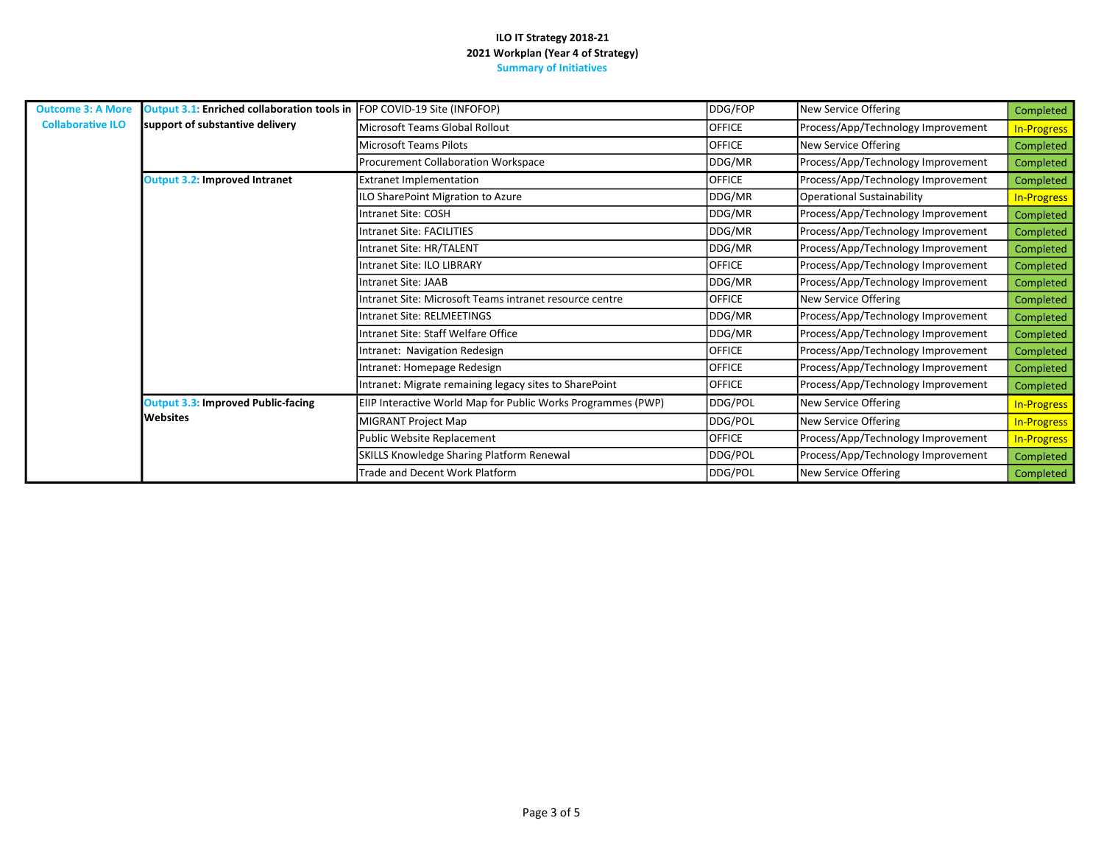| <b>Outcome 3: A More</b> | Output 3.1: Enriched collaboration tools in FOP COVID-19 Site (INFOFOP) |                                                              | DDG/FOP       | New Service Offering               | Completed          |
|--------------------------|-------------------------------------------------------------------------|--------------------------------------------------------------|---------------|------------------------------------|--------------------|
| <b>Collaborative ILO</b> | support of substantive delivery                                         | Microsoft Teams Global Rollout                               | OFFICE        | Process/App/Technology Improvement | <b>In-Progress</b> |
|                          |                                                                         | Microsoft Teams Pilots                                       | <b>OFFICE</b> | New Service Offering               | Completed          |
|                          |                                                                         | Procurement Collaboration Workspace                          | DDG/MR        | Process/App/Technology Improvement | Completed          |
|                          | <b>Output 3.2: Improved Intranet</b>                                    | <b>Extranet Implementation</b>                               | <b>OFFICE</b> | Process/App/Technology Improvement | Completed          |
|                          |                                                                         | ILO SharePoint Migration to Azure                            | DDG/MR        | <b>Operational Sustainability</b>  | <b>In-Progress</b> |
|                          |                                                                         | Intranet Site: COSH                                          | DDG/MR        | Process/App/Technology Improvement | Completed          |
|                          |                                                                         | <b>Intranet Site: FACILITIES</b>                             | DDG/MR        | Process/App/Technology Improvement | Completed          |
|                          |                                                                         | Intranet Site: HR/TALENT                                     | DDG/MR        | Process/App/Technology Improvement | Completed          |
|                          |                                                                         | <b>Intranet Site: ILO LIBRARY</b>                            | <b>OFFICE</b> | Process/App/Technology Improvement | Completed          |
|                          |                                                                         | Intranet Site: JAAB                                          | DDG/MR        | Process/App/Technology Improvement | Completed          |
|                          |                                                                         | Intranet Site: Microsoft Teams intranet resource centre      | <b>OFFICE</b> | New Service Offering               | Completed          |
|                          |                                                                         | <b>Intranet Site: RELMEETINGS</b>                            | DDG/MR        | Process/App/Technology Improvement | Completed          |
|                          |                                                                         | Intranet Site: Staff Welfare Office                          | DDG/MR        | Process/App/Technology Improvement | Completed          |
|                          |                                                                         | Intranet: Navigation Redesign                                | <b>OFFICE</b> | Process/App/Technology Improvement | Completed          |
|                          |                                                                         | Intranet: Homepage Redesign                                  | <b>OFFICE</b> | Process/App/Technology Improvement | Completed          |
|                          |                                                                         | Intranet: Migrate remaining legacy sites to SharePoint       | <b>OFFICE</b> | Process/App/Technology Improvement | Completed          |
|                          | <b>Output 3.3: Improved Public-facing</b>                               | EIIP Interactive World Map for Public Works Programmes (PWP) | DDG/POL       | New Service Offering               | <b>In-Progress</b> |
|                          | <b>I</b> Websites                                                       | MIGRANT Project Map                                          | DDG/POL       | New Service Offering               | <b>In-Progress</b> |
|                          |                                                                         | Public Website Replacement                                   | <b>OFFICE</b> | Process/App/Technology Improvement | <b>In-Progress</b> |
|                          |                                                                         | SKILLS Knowledge Sharing Platform Renewal                    | DDG/POL       | Process/App/Technology Improvement | Completed          |
|                          |                                                                         | Trade and Decent Work Platform                               | DDG/POL       | New Service Offering               | Completed          |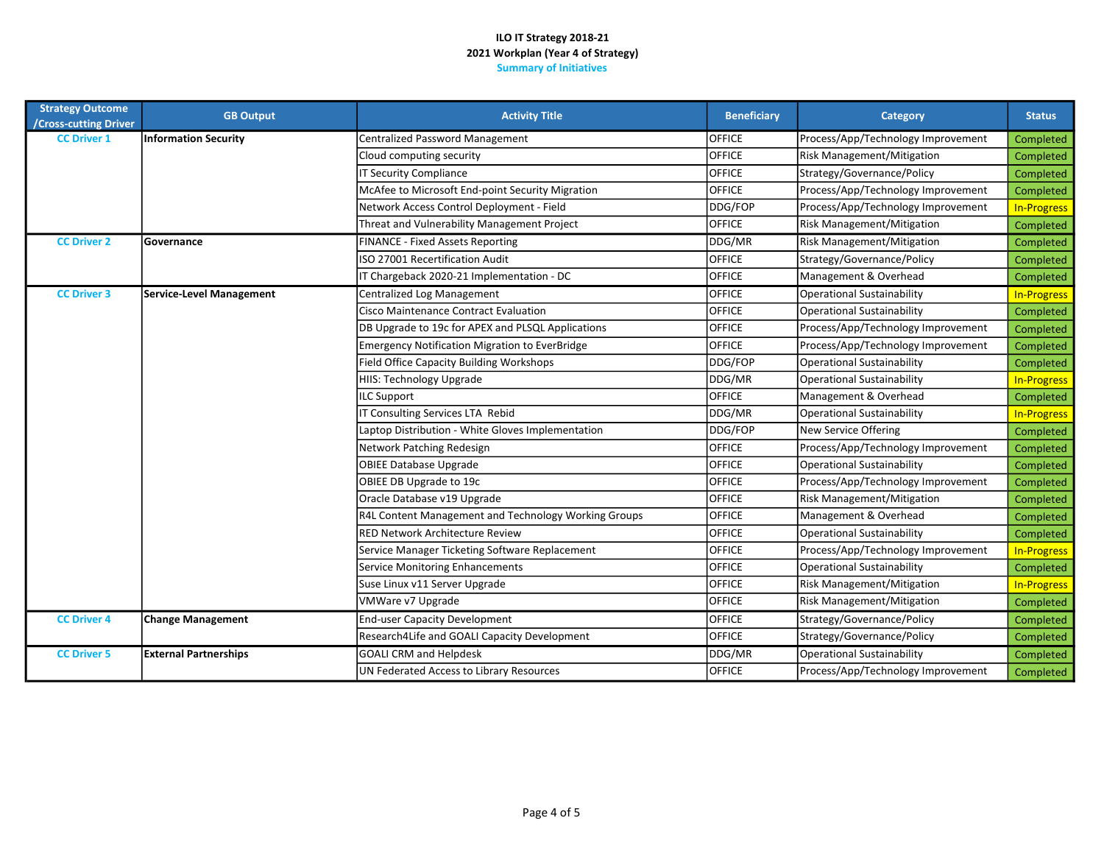| <b>Strategy Outcome</b><br>/Cross-cutting Driver | <b>GB Output</b>                | <b>Activity Title</b>                                 | <b>Beneficiary</b> | Category                           | <b>Status</b>      |
|--------------------------------------------------|---------------------------------|-------------------------------------------------------|--------------------|------------------------------------|--------------------|
| <b>CC Driver 1</b>                               | <b>Information Security</b>     | Centralized Password Management                       | <b>OFFICE</b>      | Process/App/Technology Improvement | Completed          |
|                                                  |                                 | Cloud computing security                              | <b>OFFICE</b>      | Risk Management/Mitigation         | Completed          |
|                                                  |                                 | <b>IT Security Compliance</b>                         | <b>OFFICE</b>      | Strategy/Governance/Policy         | Completed          |
|                                                  |                                 | McAfee to Microsoft End-point Security Migration      | <b>OFFICE</b>      | Process/App/Technology Improvement | Completed          |
|                                                  |                                 | Network Access Control Deployment - Field             | DDG/FOP            | Process/App/Technology Improvement | <b>In-Progress</b> |
|                                                  |                                 | Threat and Vulnerability Management Project           | <b>OFFICE</b>      | Risk Management/Mitigation         | Completed          |
| <b>CC Driver 2</b>                               | Governance                      | FINANCE - Fixed Assets Reporting                      | DDG/MR             | Risk Management/Mitigation         | Completed          |
|                                                  |                                 | ISO 27001 Recertification Audit                       | OFFICE             | Strategy/Governance/Policy         | Completed          |
|                                                  |                                 | IT Chargeback 2020-21 Implementation - DC             | <b>OFFICE</b>      | Management & Overhead              | Completed          |
| <b>CC Driver 3</b>                               | <b>Service-Level Management</b> | Centralized Log Management                            | <b>OFFICE</b>      | <b>Operational Sustainability</b>  | <b>In-Progress</b> |
|                                                  |                                 | Cisco Maintenance Contract Evaluation                 | <b>OFFICE</b>      | <b>Operational Sustainability</b>  | Completed          |
|                                                  |                                 | DB Upgrade to 19c for APEX and PLSQL Applications     | <b>OFFICE</b>      | Process/App/Technology Improvement | Completed          |
|                                                  |                                 | <b>Emergency Notification Migration to EverBridge</b> | <b>OFFICE</b>      | Process/App/Technology Improvement | Completed          |
|                                                  |                                 | <b>Field Office Capacity Building Workshops</b>       | DDG/FOP            | <b>Operational Sustainability</b>  | Completed          |
|                                                  |                                 | HIIS: Technology Upgrade                              | DDG/MR             | <b>Operational Sustainability</b>  | <b>In-Progress</b> |
|                                                  |                                 | <b>ILC Support</b>                                    | <b>OFFICE</b>      | Management & Overhead              | Completed          |
|                                                  |                                 | IT Consulting Services LTA Rebid                      | DDG/MR             | <b>Operational Sustainability</b>  | <b>In-Progress</b> |
|                                                  |                                 | Laptop Distribution - White Gloves Implementation     | DDG/FOP            | <b>New Service Offering</b>        | Completed          |
|                                                  |                                 | Network Patching Redesign                             | <b>OFFICE</b>      | Process/App/Technology Improvement | Completed          |
|                                                  |                                 | <b>OBIEE Database Upgrade</b>                         | OFFICE             | <b>Operational Sustainability</b>  | Completed          |
|                                                  |                                 | OBIEE DB Upgrade to 19c                               | <b>OFFICE</b>      | Process/App/Technology Improvement | Completed          |
|                                                  |                                 | Oracle Database v19 Upgrade                           | <b>OFFICE</b>      | Risk Management/Mitigation         | Completed          |
|                                                  |                                 | R4L Content Management and Technology Working Groups  | <b>OFFICE</b>      | Management & Overhead              | Completed          |
|                                                  |                                 | <b>RED Network Architecture Review</b>                | <b>OFFICE</b>      | <b>Operational Sustainability</b>  | Completed          |
|                                                  |                                 | Service Manager Ticketing Software Replacement        | <b>OFFICE</b>      | Process/App/Technology Improvement | <b>In-Progress</b> |
|                                                  |                                 | Service Monitoring Enhancements                       | <b>OFFICE</b>      | <b>Operational Sustainability</b>  | Completed          |
|                                                  |                                 | Suse Linux v11 Server Upgrade                         | <b>OFFICE</b>      | <b>Risk Management/Mitigation</b>  | <b>In-Progress</b> |
|                                                  |                                 | VMWare v7 Upgrade                                     | <b>OFFICE</b>      | Risk Management/Mitigation         | Completed          |
| <b>CC Driver 4</b>                               | <b>Change Management</b>        | <b>End-user Capacity Development</b>                  | <b>OFFICE</b>      | Strategy/Governance/Policy         | Completed          |
|                                                  |                                 | Research4Life and GOALI Capacity Development          | <b>OFFICE</b>      | Strategy/Governance/Policy         | Completed          |
| <b>CC Driver 5</b>                               | <b>External Partnerships</b>    | <b>GOALI CRM and Helpdesk</b>                         | DDG/MR             | <b>Operational Sustainability</b>  | Completed          |
|                                                  |                                 | UN Federated Access to Library Resources              | <b>OFFICE</b>      | Process/App/Technology Improvement | Completed          |